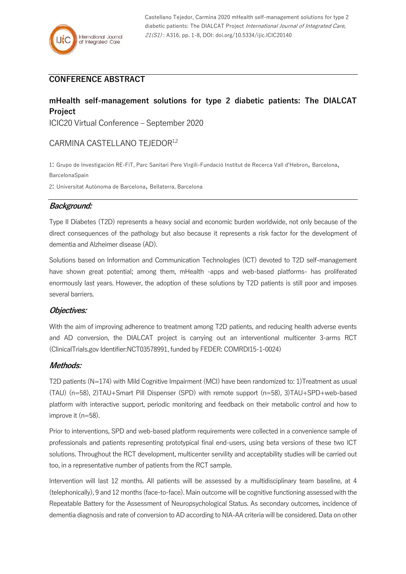## **CONFERENCE ABSTRACT**

### **mHealth self-management solutions for type 2 diabetic patients: The DIALCAT Project**

ICIC20 Virtual Conference – September 2020

# CARMINA CASTELLANO TEJEDOR<sup>1,2</sup>

1: Grupo de Investigación RE-FiT, Parc Sanitari Pere Virgili-Fundació Institut de Recerca Vall d'Hebron, Barcelona, BarcelonaSpain

2: Universitat Autònoma de Barcelona, Bellaterra, Barcelona

### **Background:**

Type II Diabetes (T2D) represents a heavy social and economic burden worldwide, not only because of the direct consequences of the pathology but also because it represents a risk factor for the development of dementia and Alzheimer disease (AD).

Solutions based on Information and Communication Technologies (ICT) devoted to T2D self-management have shown great potential; among them, mHealth -apps and web-based platforms- has proliferated enormously last years. However, the adoption of these solutions by T2D patients is still poor and imposes several barriers.

### **Objectives:**

With the aim of improving adherence to treatment among T2D patients, and reducing health adverse events and AD conversion, the DIALCAT project is carrying out an interventional multicenter 3-arms RCT (ClinicalTrials.gov Identifier:NCT03578991, funded by FEDER: COMRDI15-1-0024)

### **Methods:**

T2D patients (N=174) with Mild Cognitive Impairment (MCI) have been randomized to: 1)Treatment as usual (TAU) (n=58), 2)TAU+Smart Pill Dispenser (SPD) with remote support (n=58), 3)TAU+SPD+web-based platform with interactive support, periodic monitoring and feedback on their metabolic control and how to improve it (n=58).

Prior to interventions, SPD and web-based platform requirements were collected in a convenience sample of professionals and patients representing prototypical final end-users, using beta versions of these two ICT solutions. Throughout the RCT development, multicenter servility and acceptability studies will be carried out too, in a representative number of patients from the RCT sample.

Intervention will last 12 months. All patients will be assessed by a multidisciplinary team baseline, at 4 (telephonically), 9 and 12 months (face-to-face). Main outcome will be cognitive functioning assessed with the Repeatable Battery for the Assessment of Neuropsychological Status. As secondary outcomes, incidence of dementia diagnosis and rate of conversion to AD according to NIA-AA criteria will be considered. Data on other